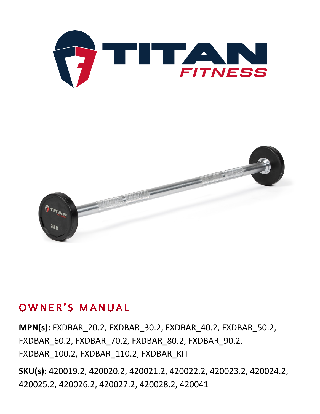



## OWNER'S MANUAL

**MPN(s):** FXDBAR\_20.2, FXDBAR\_30.2, FXDBAR\_40.2, FXDBAR\_50.2, FXDBAR\_60.2, FXDBAR\_70.2, FXDBAR\_80.2, FXDBAR\_90.2, FXDBAR\_100.2, FXDBAR\_110.2, FXDBAR\_KIT

**SKU(s):** 420019.2, 420020.2, 420021.2, 420022.2, 420023.2, 420024.2, 420025.2, 420026.2, 420027.2, 420028.2, 420041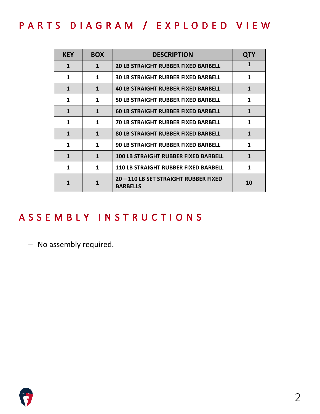# PARTS DIAGRAM / EXPLODED VIEW

| <b>KEY</b> | <b>BOX</b>   | <b>DESCRIPTION</b>                                       | <b>QTY</b>   |
|------------|--------------|----------------------------------------------------------|--------------|
| 1          | $\mathbf{1}$ | <b>20 LB STRAIGHT RUBBER FIXED BARBELL</b>               | 1            |
| 1          | 1            | <b>30 LB STRAIGHT RUBBER FIXED BARBELL</b>               | 1            |
| 1          | $\mathbf{1}$ | <b>40 LB STRAIGHT RUBBER FIXED BARBELL</b>               | 1            |
| 1          | 1            | <b>50 LB STRAIGHT RUBBER FIXED BARBELL</b>               | 1            |
| 1          | 1            | <b>60 LB STRAIGHT RUBBER FIXED BARBELL</b>               | 1            |
| 1          | 1            | <b>70 LB STRAIGHT RUBBER FIXED BARBELL</b>               | 1            |
| 1          | $\mathbf{1}$ | <b>80 LB STRAIGHT RUBBER FIXED BARBELL</b>               | 1            |
| 1          | 1            | <b>90 LB STRAIGHT RUBBER FIXED BARBELL</b>               | 1            |
| 1          | $\mathbf{1}$ | <b>100 LB STRAIGHT RUBBER FIXED BARBELL</b>              | $\mathbf{1}$ |
| 1          | 1            | <b>110 LB STRAIGHT RUBBER FIXED BARBELL</b>              | 1            |
| 1          | 1            | 20 - 110 LB SET STRAIGHT RUBBER FIXED<br><b>BARBELLS</b> | 10           |

## ASSEMBLY INSTRUCTIONS

− No assembly required.